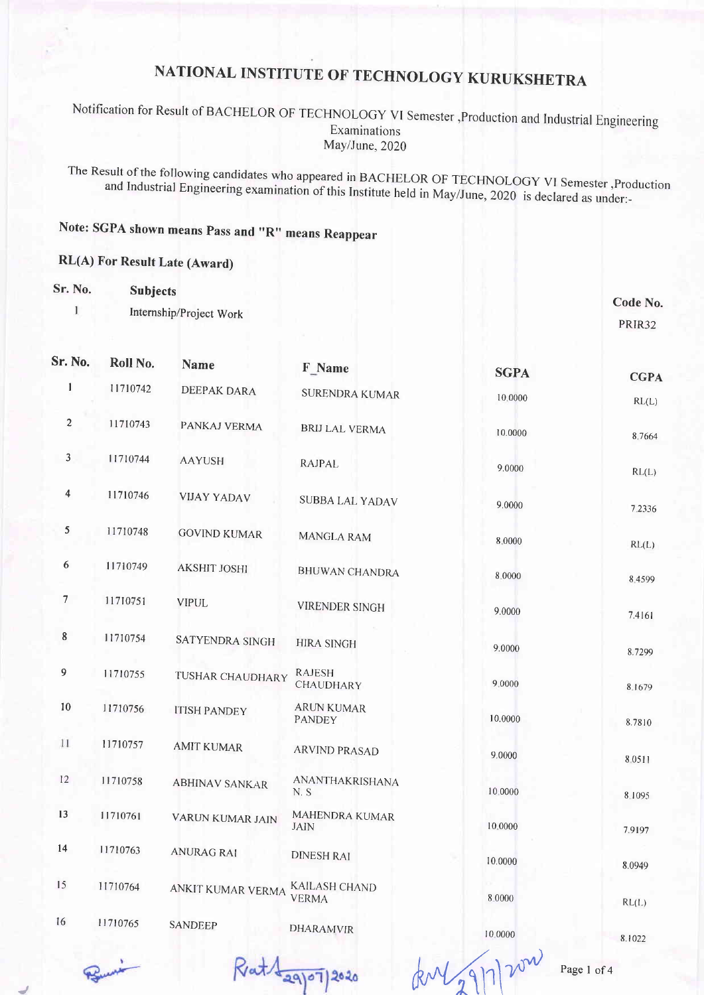#### Notification for Result of BACHELOR OF TECHNOLOGY VI Semester , Production and Industrial Engineering Examinations May/June, 2020

The Result of the following candidates who appeared in BACHELOR OF TECHNOLOGY VI Semester , Production and Industrial Engineering examination of this Institute held in May/June, 2020 is declared as under:-

#### Note: SGPA shown means Pass and "R" means Reappear

**Name** 

#### RL(A) For Result Late (Award)

| Sr. No. | <b>Subjects</b>         |                   |          |                    |
|---------|-------------------------|-------------------|----------|--------------------|
|         | Internship/Project Work |                   |          | Code No.<br>PRIR32 |
| Sr. No. | Roll No.<br><b>Name</b> | $\mathbb{F}$ Nome | ________ |                    |

| Sr. No.          | <b>ROII</b> No. | <b>Name</b>           | F Name                               | <b>SGPA</b> | <b>CGPA</b> |
|------------------|-----------------|-----------------------|--------------------------------------|-------------|-------------|
| 1                | 11710742        | DEEPAK DARA           | SURENDRA KUMAR                       | 10.0000     | RL(L)       |
| $\overline{c}$   | 11710743        | PANKAJ VERMA          | <b>BRIJ LAL VERMA</b>                | 10.0000     | 8.7664      |
| 3                | 11710744        | <b>AAYUSH</b>         | RAJPAL                               | 9.0000      | RL(L)       |
| 4                | 11710746        | <b>VIJAY YADAV</b>    | <b>SUBBA LAL YADAV</b>               | 9.0000      | 7.2336      |
| $\mathfrak{S}$   | 11710748        | <b>GOVIND KUMAR</b>   | <b>MANGLA RAM</b>                    | 8,0000      | RL(L)       |
| 6                | 11710749        | <b>AKSHIT JOSHI</b>   | <b>BHUWAN CHANDRA</b>                | 8.0000      | 8.4599      |
| $\boldsymbol{7}$ | 11710751        | <b>VIPUL</b>          | <b>VIRENDER SINGH</b>                | 9.0000      | 7.4161      |
| 8                | 11710754        | SATYENDRA SINGH       | <b>HIRA SINGH</b>                    | 9.0000      | 8.7299      |
| 9                | 11710755        | TUSHAR CHAUDHARY      | <b>RAJESH</b><br>CHAUDHARY           | 9.0000      | 8.1679      |
| $10\,$           | 11710756        | <b>ITISH PANDEY</b>   | <b>ARUN KUMAR</b><br><b>PANDEY</b>   | 10.0000     | 8.7810      |
| 11               | 11710757        | <b>AMIT KUMAR</b>     | <b>ARVIND PRASAD</b>                 | 9.0000      | 8.0511      |
| 12               | 11710758        | <b>ABHINAV SANKAR</b> | ANANTHAKRISHANA<br>N.S               | 10.0000     | 8.1095      |
| 13               | 11710761        | VARUN KUMAR JAIN      | MAHENDRA KUMAR<br><b>JAIN</b>        | 10.0000     | 7.9197      |
| 14               | 11710763        | <b>ANURAG RAI</b>     | <b>DINESH RAI</b>                    | 10.0000     | 8.0949      |
| 15               | 11710764        | ANKIT KUMAR VERMA     | <b>KAILASH CHAND</b><br><b>VERMA</b> | 8.0000      | RL(L)       |
| 16               | 11710765        | <b>SANDEEP</b>        | <b>DHARAMVIR</b>                     | 10.0000     | 0.1022      |

Rat Lagoi 2020

 $k$ M2917200 Page 1 of 4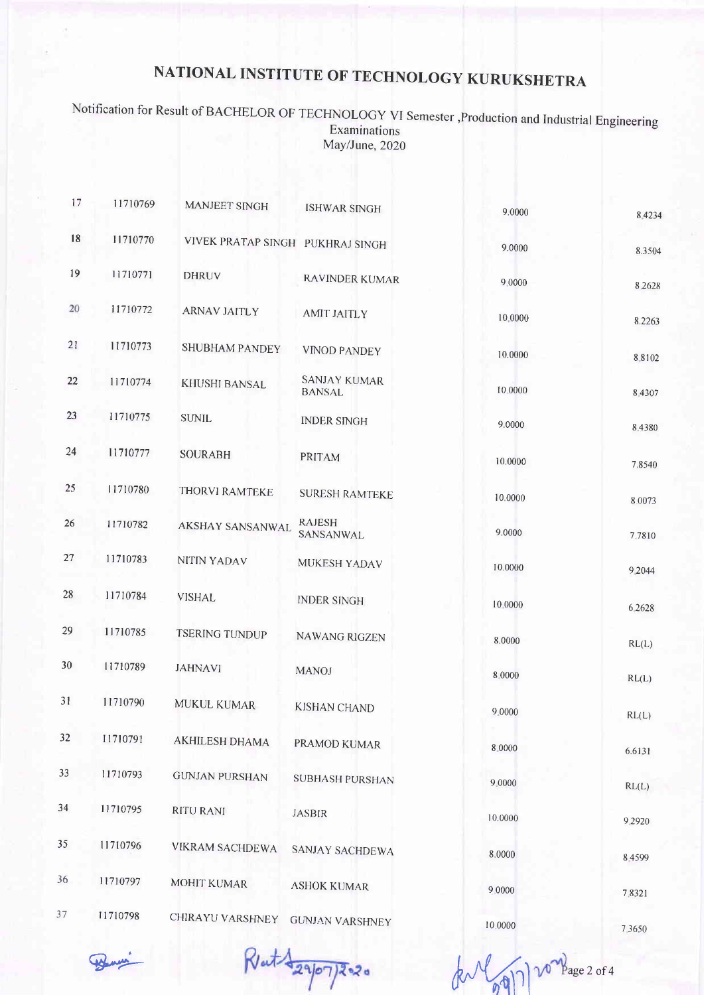Notification for Result of BACHELOR OF TECHNOLOGY VI Semester , Production and Industrial Engineering Examinations May/June, 2020

| 17 | 11710769 | <b>MANJEET SINGH</b>             | <b>ISHWAR SINGH</b>                  | 9.0000  | 8 4 2 3 4 |
|----|----------|----------------------------------|--------------------------------------|---------|-----------|
| 18 | 11710770 | VIVEK PRATAP SINGH PUKHRAJ SINGH |                                      | 9.0000  | 8.3504    |
| 19 | 11710771 | <b>DHRUV</b>                     | RAVINDER KUMAR                       | 9.0000  | 8.2628    |
| 20 | 11710772 | <b>ARNAV JAITLY</b>              | <b>AMIT JAITLY</b>                   | 10,0000 | 8.2263    |
| 21 | 11710773 | <b>SHUBHAM PANDEY</b>            | <b>VINOD PANDEY</b>                  | 10.0000 | 8.8102    |
| 22 | 11710774 | KHUSHI BANSAL                    | <b>SANJAY KUMAR</b><br><b>BANSAL</b> | 10.0000 | 8.4307    |
| 23 | 11710775 | <b>SUNIL</b>                     | <b>INDER SINGH</b>                   | 9.0000  | 8.4380    |
| 24 | 11710777 | <b>SOURABH</b>                   | PRITAM                               | 10.0000 | 7.8540    |
| 25 | 11710780 | THORVI RAMTEKE                   | <b>SURESH RAMTEKE</b>                | 10.0000 | 8.0073    |
| 26 | 11710782 | AKSHAY SANSANWAL                 | <b>RAJESH</b><br>SANSANWAL           | 9.0000  | 7.7810    |
| 27 | 11710783 | NITIN YADAV                      | MUKESH YADAV                         | 10.0000 | 9.2044    |
| 28 | 11710784 | <b>VISHAL</b>                    | <b>INDER SINGH</b>                   | 10.0000 | 6 2 6 2 8 |
| 29 | 11710785 | <b>TSERING TUNDUP</b>            | <b>NAWANG RIGZEN</b>                 | 8.0000  | RL(L)     |
| 30 | 11710789 | <b>JAHNAVI</b>                   | <b>MANOJ</b>                         | 8.0000  | RL(L)     |
| 31 | 11710790 | MUKUL KUMAR                      | <b>KISHAN CHAND</b>                  | 9.0000  | RL(L)     |
| 32 | 11710791 | AKHILESH DHAMA                   | PRAMOD KUMAR                         | 8.0000  | 6.6131    |
| 33 | 11710793 | <b>GUNJAN PURSHAN</b>            | <b>SUBHASH PURSHAN</b>               | 9.0000  | RL(L)     |
| 34 | 11710795 | <b>RITU RANI</b>                 | <b>JASBIR</b>                        | 10.0000 | 9.2920    |
| 35 | 11710796 | VIKRAM SACHDEWA                  | SANJAY SACHDEWA                      | 8.0000  | 84599     |
| 36 | 11710797 | MOHIT KUMAR                      | <b>ASHOK KUMAR</b>                   | 9.0000  | 7.8321    |
| 37 | 11710798 | CHIRAYU VARSHNEY                 | <b>GUNJAN VARSHNEY</b>               | 10.0000 | 7.3650    |

Rat 12907/2020

vo Bage 2 of 4  $\sqrt{q}$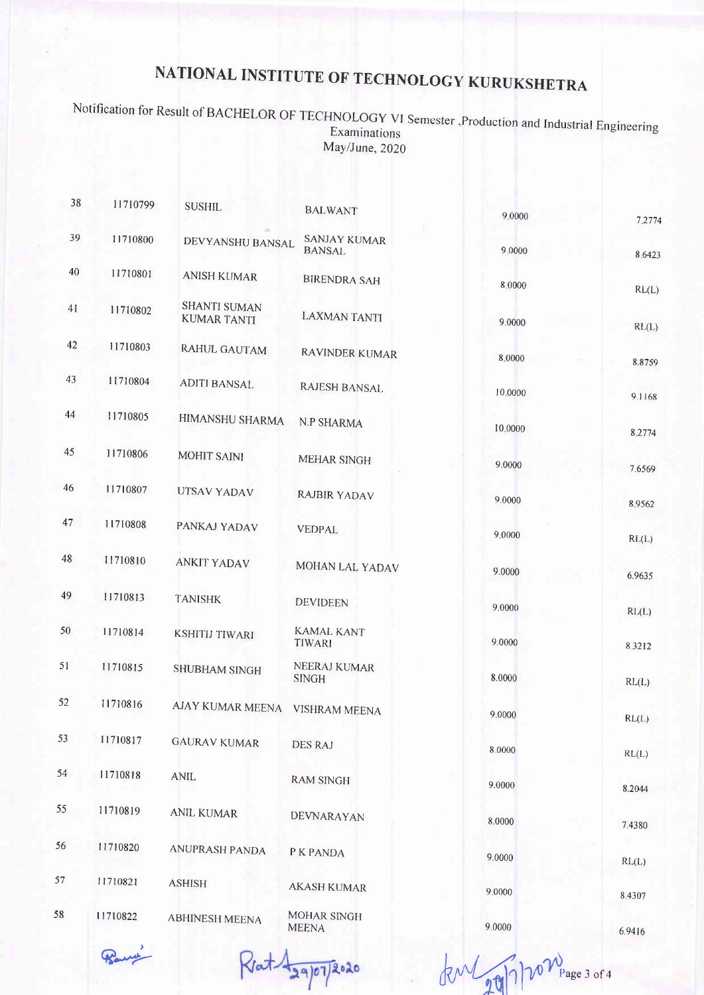## Notification for Result of BACHELOR OF TECHNOLOGY VI Semester, Production and Industrial Engineering<br>Examinations May/June, 2020

| 38 | 11710799 | <b>SUSHIL</b>                             | <b>BALWANT</b>                       | 9.0000  | 7.2774           |
|----|----------|-------------------------------------------|--------------------------------------|---------|------------------|
| 39 | 11710800 | DEVYANSHU BANSAL                          | <b>SANJAY KUMAR</b><br><b>BANSAL</b> | 9 0000  | 8.6423           |
| 40 | 11710801 | <b>ANISH KUMAR</b>                        | <b>BIRENDRA SAH</b>                  | 8.0000  |                  |
| 41 | 11710802 | <b>SHANTI SUMAN</b><br><b>KUMAR TANTI</b> | <b>LAXMAN TANTI</b>                  | 9.0000  | RL(L)<br>RL(L)   |
| 42 | 11710803 | <b>RAHUL GAUTAM</b>                       | RAVINDER KUMAR                       | 8.0000  |                  |
| 43 | 11710804 | <b>ADITI BANSAL</b>                       | <b>RAJESH BANSAL</b>                 | 10.0000 | 8.8759<br>9.1168 |
| 44 | 11710805 | HIMANSHU SHARMA                           | N.P SHARMA                           | 10.0000 | 8.2774           |
| 45 | 11710806 | <b>MOHIT SAINI</b>                        | <b>MEHAR SINGH</b>                   | 9.0000  | 7.6569           |
| 46 | 11710807 | UTSAV YADAV                               | <b>RAJBIR YADAV</b>                  | 9.0000  | 8.9562           |
| 47 | 11710808 | PANKAJ YADAV                              | <b>VEDPAL</b>                        | 9.0000  | RL(L)            |
| 48 | 11710810 | <b>ANKIT YADAV</b>                        | MOHAN LAL YADAV                      | 9.0000  | 6.9635           |
| 49 | 11710813 | <b>TANISHK</b>                            | <b>DEVIDEEN</b>                      | 9.0000  | RL(L)            |
| 50 | 11710814 | KSHITIJ TIWARI                            | <b>KAMAL KANT</b><br>TIWARI          | 9.0000  | 8.3212           |
| 51 | 11710815 | <b>SHUBHAM SINGH</b>                      | NEERAJ KUMAR<br><b>SINGH</b>         | 8.0000  | RL(L)            |
| 52 | 11710816 | AJAY KUMAR MEENA VISHRAM MEENA            |                                      | 9.0000  | RL(L)            |
| 53 | 11710817 | <b>GAURAV KUMAR</b>                       | <b>DES RAJ</b>                       | 8.0000  | RL(L)            |
| 54 | 11710818 | <b>ANIL</b>                               | <b>RAM SINGH</b>                     | 9.0000  | 8.2044           |
| 55 | 11710819 | <b>ANIL KUMAR</b>                         | DEVNARAYAN                           | 8.0000  | 7.4380           |
| 56 | 11710820 | <b>ANUPRASH PANDA</b>                     | P K PANDA                            | 9.0000  | RL(L)            |
| 57 | 11710821 | <b>ASHISH</b>                             | <b>AKASH KUMAR</b>                   | 9.0000  | 8.4307           |
| 58 | 11710822 | <b>ABHINESH MEENA</b>                     | MOHAR SINGH<br><b>MEENA</b>          | 9.0000  | 6.9416           |

 $R$ rat  $\frac{1}{29}$ 07/2020 kml  $20$ 17/20 $\frac{1}{20}$